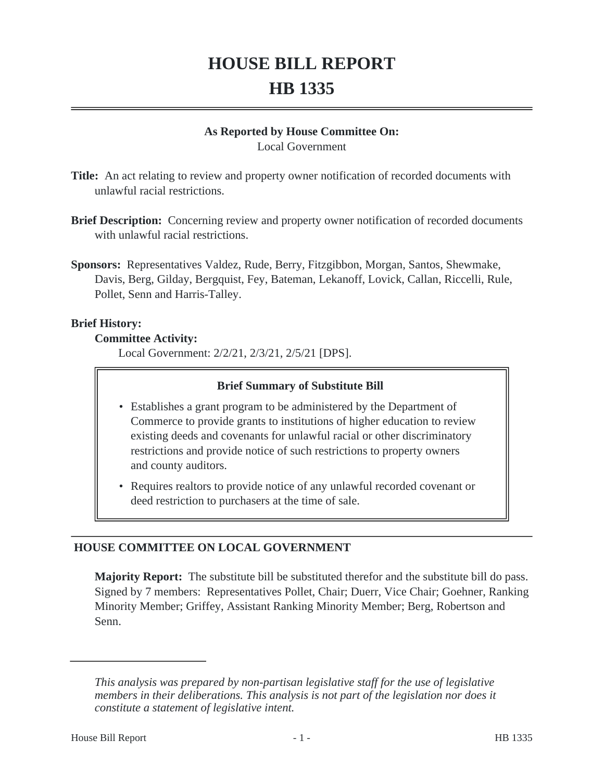# **HOUSE BILL REPORT HB 1335**

#### **As Reported by House Committee On:**

Local Government

**Title:** An act relating to review and property owner notification of recorded documents with unlawful racial restrictions.

- **Brief Description:** Concerning review and property owner notification of recorded documents with unlawful racial restrictions.
- **Sponsors:** Representatives Valdez, Rude, Berry, Fitzgibbon, Morgan, Santos, Shewmake, Davis, Berg, Gilday, Bergquist, Fey, Bateman, Lekanoff, Lovick, Callan, Riccelli, Rule, Pollet, Senn and Harris-Talley.

#### **Brief History:**

#### **Committee Activity:**

Local Government: 2/2/21, 2/3/21, 2/5/21 [DPS].

## **Brief Summary of Substitute Bill**

- Establishes a grant program to be administered by the Department of Commerce to provide grants to institutions of higher education to review existing deeds and covenants for unlawful racial or other discriminatory restrictions and provide notice of such restrictions to property owners and county auditors.
- Requires realtors to provide notice of any unlawful recorded covenant or deed restriction to purchasers at the time of sale.

# **HOUSE COMMITTEE ON LOCAL GOVERNMENT**

**Majority Report:** The substitute bill be substituted therefor and the substitute bill do pass. Signed by 7 members: Representatives Pollet, Chair; Duerr, Vice Chair; Goehner, Ranking Minority Member; Griffey, Assistant Ranking Minority Member; Berg, Robertson and Senn.

*This analysis was prepared by non-partisan legislative staff for the use of legislative members in their deliberations. This analysis is not part of the legislation nor does it constitute a statement of legislative intent.*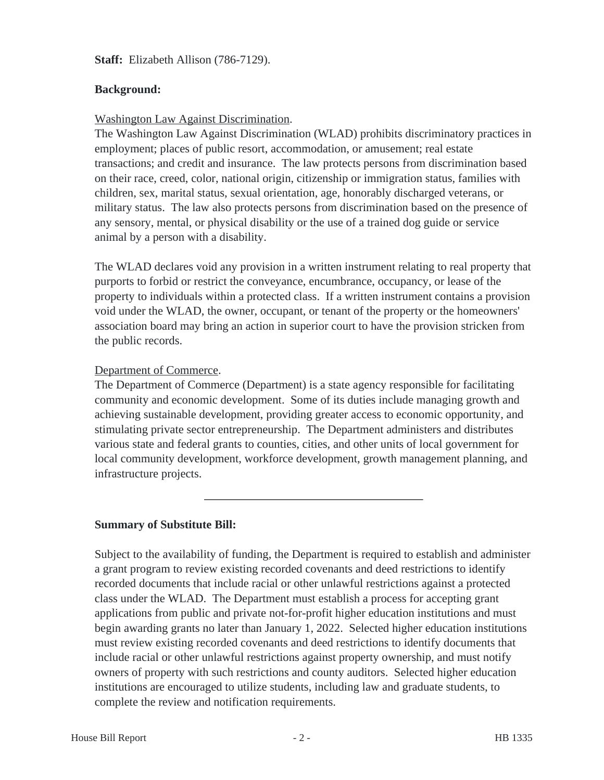**Staff:** Elizabeth Allison (786-7129).

#### **Background:**

#### Washington Law Against Discrimination.

The Washington Law Against Discrimination (WLAD) prohibits discriminatory practices in employment; places of public resort, accommodation, or amusement; real estate transactions; and credit and insurance. The law protects persons from discrimination based on their race, creed, color, national origin, citizenship or immigration status, families with children, sex, marital status, sexual orientation, age, honorably discharged veterans, or military status. The law also protects persons from discrimination based on the presence of any sensory, mental, or physical disability or the use of a trained dog guide or service animal by a person with a disability.

The WLAD declares void any provision in a written instrument relating to real property that purports to forbid or restrict the conveyance, encumbrance, occupancy, or lease of the property to individuals within a protected class. If a written instrument contains a provision void under the WLAD, the owner, occupant, or tenant of the property or the homeowners' association board may bring an action in superior court to have the provision stricken from the public records.

## Department of Commerce.

The Department of Commerce (Department) is a state agency responsible for facilitating community and economic development. Some of its duties include managing growth and achieving sustainable development, providing greater access to economic opportunity, and stimulating private sector entrepreneurship. The Department administers and distributes various state and federal grants to counties, cities, and other units of local government for local community development, workforce development, growth management planning, and infrastructure projects.

# **Summary of Substitute Bill:**

Subject to the availability of funding, the Department is required to establish and administer a grant program to review existing recorded covenants and deed restrictions to identify recorded documents that include racial or other unlawful restrictions against a protected class under the WLAD. The Department must establish a process for accepting grant applications from public and private not-for-profit higher education institutions and must begin awarding grants no later than January 1, 2022. Selected higher education institutions must review existing recorded covenants and deed restrictions to identify documents that include racial or other unlawful restrictions against property ownership, and must notify owners of property with such restrictions and county auditors. Selected higher education institutions are encouraged to utilize students, including law and graduate students, to complete the review and notification requirements.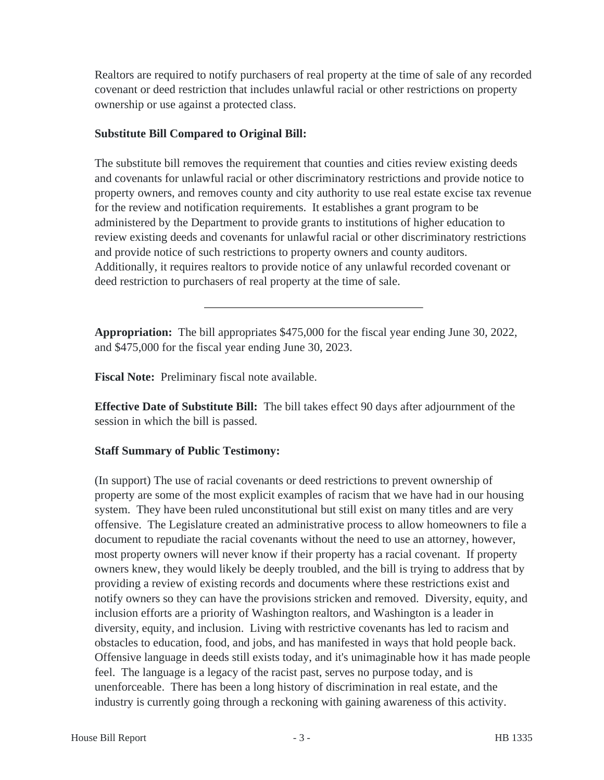Realtors are required to notify purchasers of real property at the time of sale of any recorded covenant or deed restriction that includes unlawful racial or other restrictions on property ownership or use against a protected class.

## **Substitute Bill Compared to Original Bill:**

The substitute bill removes the requirement that counties and cities review existing deeds and covenants for unlawful racial or other discriminatory restrictions and provide notice to property owners, and removes county and city authority to use real estate excise tax revenue for the review and notification requirements. It establishes a grant program to be administered by the Department to provide grants to institutions of higher education to review existing deeds and covenants for unlawful racial or other discriminatory restrictions and provide notice of such restrictions to property owners and county auditors. Additionally, it requires realtors to provide notice of any unlawful recorded covenant or deed restriction to purchasers of real property at the time of sale.

**Appropriation:** The bill appropriates \$475,000 for the fiscal year ending June 30, 2022, and \$475,000 for the fiscal year ending June 30, 2023.

**Fiscal Note:** Preliminary fiscal note available.

**Effective Date of Substitute Bill:** The bill takes effect 90 days after adjournment of the session in which the bill is passed.

# **Staff Summary of Public Testimony:**

(In support) The use of racial covenants or deed restrictions to prevent ownership of property are some of the most explicit examples of racism that we have had in our housing system. They have been ruled unconstitutional but still exist on many titles and are very offensive. The Legislature created an administrative process to allow homeowners to file a document to repudiate the racial covenants without the need to use an attorney, however, most property owners will never know if their property has a racial covenant. If property owners knew, they would likely be deeply troubled, and the bill is trying to address that by providing a review of existing records and documents where these restrictions exist and notify owners so they can have the provisions stricken and removed. Diversity, equity, and inclusion efforts are a priority of Washington realtors, and Washington is a leader in diversity, equity, and inclusion. Living with restrictive covenants has led to racism and obstacles to education, food, and jobs, and has manifested in ways that hold people back. Offensive language in deeds still exists today, and it's unimaginable how it has made people feel. The language is a legacy of the racist past, serves no purpose today, and is unenforceable. There has been a long history of discrimination in real estate, and the industry is currently going through a reckoning with gaining awareness of this activity.